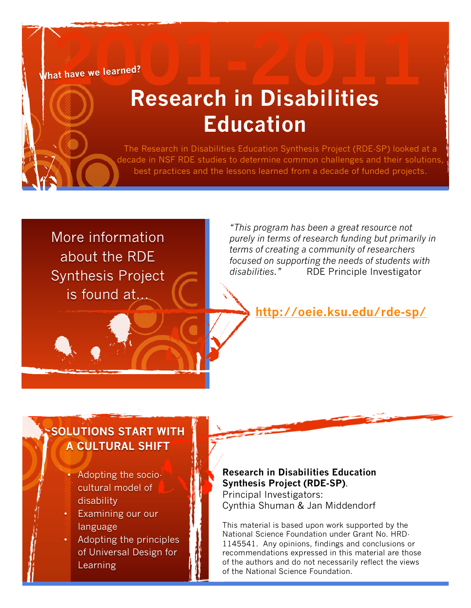**What have we learned?**

## Referred? **Research in Disabilities Education**

The Research in Disabilities Education Synthesis Project (RDE-SP) looked at a decade in NSF RDE studies to determine common challenges and their solutions, best practices and the lessons learned from a decade of funded projects.

More information about the RDE Synthesis Project is found at...

*"This program has been a great resource not purely in terms of research funding but primarily in terms of creating a community of researchers focused on supporting the needs of students with disabilities."* RDE Principle Investigator

**http://oeie.ksu.edu/rde-sp/**

#### **SOLUTIONS START WITH A CULTURAL SHIFT**

- Adopting the sociocultural model of disability
- Examining our our language
- Adopting the principles of Universal Design for Learning

#### **Research in Disabilities Education Synthesis Project (RDE-SP)**.

Principal Investigators: Cynthia Shuman & Jan Middendorf

This material is based upon work supported by the National Science Foundation under Grant No. HRD-1145541. Any opinions, findings and conclusions or recommendations expressed in this material are those of the authors and do not necessarily reflect the views of the National Science Foundation.